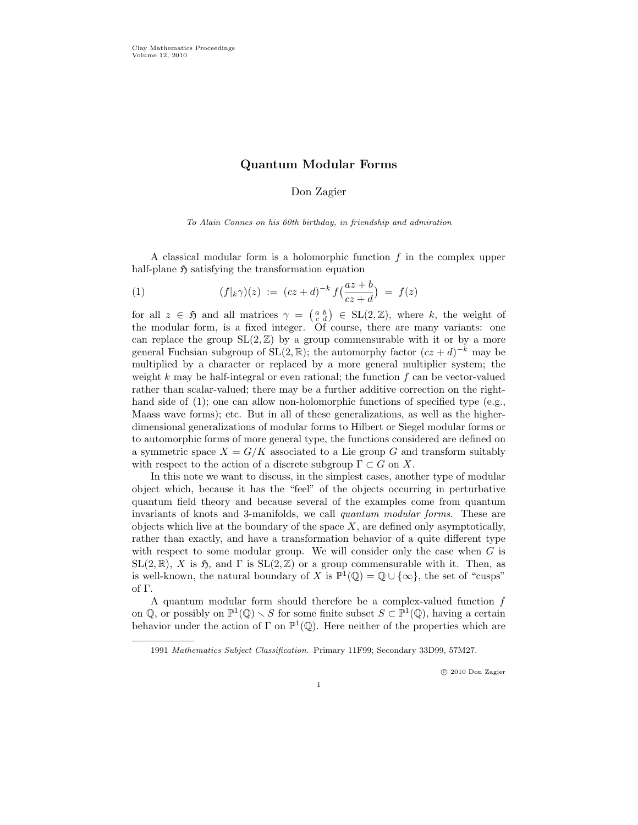# Quantum Modular Forms

# Don Zagier

To Alain Connes on his 60th birthday, in friendship and admiration

A classical modular form is a holomorphic function  $f$  in the complex upper half-plane  $\mathfrak H$  satisfying the transformation equation

(1) 
$$
(f|_{k}\gamma)(z) := (cz+d)^{-k} f(\frac{az+b}{cz+d}) = f(z)
$$

for all  $z \in \mathfrak{H}$  and all matrices  $\gamma = \begin{pmatrix} a & b \\ c & d \end{pmatrix} \in SL(2, \mathbb{Z})$ , where k, the weight of the modular form, is a fixed integer. Of course, there are many variants: one can replace the group  $SL(2,\mathbb{Z})$  by a group commensurable with it or by a more general Fuchsian subgroup of  $SL(2, \mathbb{R})$ ; the automorphy factor  $(cz + d)^{-k}$  may be multiplied by a character or replaced by a more general multiplier system; the weight  $k$  may be half-integral or even rational; the function  $f$  can be vector-valued rather than scalar-valued; there may be a further additive correction on the righthand side of (1); one can allow non-holomorphic functions of specified type (e.g., Maass wave forms); etc. But in all of these generalizations, as well as the higherdimensional generalizations of modular forms to Hilbert or Siegel modular forms or to automorphic forms of more general type, the functions considered are defined on a symmetric space  $X = G/K$  associated to a Lie group G and transform suitably with respect to the action of a discrete subgroup  $\Gamma \subset G$  on X.

In this note we want to discuss, in the simplest cases, another type of modular object which, because it has the "feel" of the objects occurring in perturbative quantum field theory and because several of the examples come from quantum invariants of knots and 3-manifolds, we call quantum modular forms. These are objects which live at the boundary of the space  $X$ , are defined only asymptotically, rather than exactly, and have a transformation behavior of a quite different type with respect to some modular group. We will consider only the case when  $G$  is  $SL(2,\mathbb{R})$ , X is  $\mathfrak{H}$ , and  $\Gamma$  is  $SL(2,\mathbb{Z})$  or a group commensurable with it. Then, as is well-known, the natural boundary of X is  $\mathbb{P}^1(\mathbb{Q}) = \mathbb{Q} \cup \{\infty\}$ , the set of "cusps" of Γ.

A quantum modular form should therefore be a complex-valued function  $f$ on Q, or possibly on  $\mathbb{P}^1(\mathbb{Q}) \setminus S$  for some finite subset  $S \subset \mathbb{P}^1(\mathbb{Q})$ , having a certain behavior under the action of  $\Gamma$  on  $\mathbb{P}^1(\mathbb{Q})$ . Here neither of the properties which are

<sup>1991</sup> Mathematics Subject Classification. Primary 11F99; Secondary 33D99, 57M27.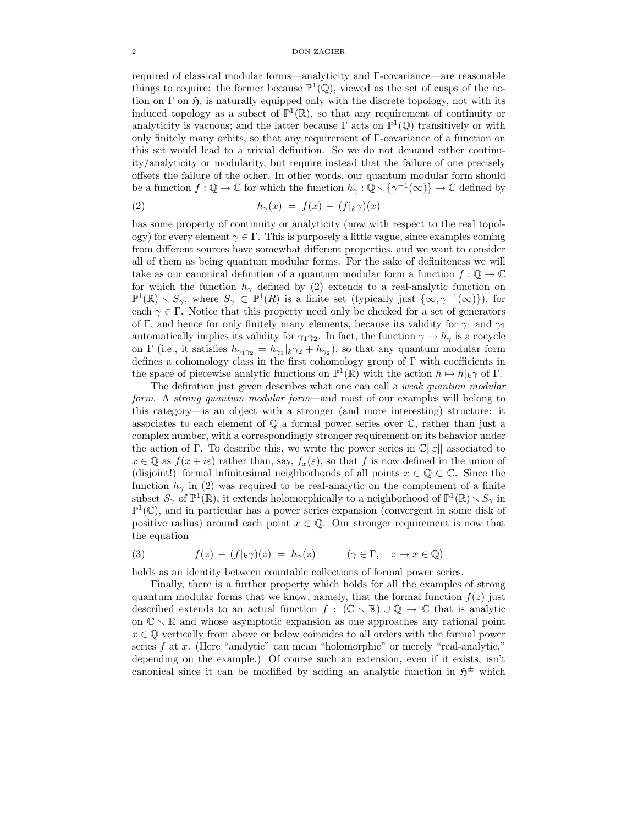required of classical modular forms—analyticity and Γ-covariance—are reasonable things to require: the former because  $\mathbb{P}^1(\mathbb{Q})$ , viewed as the set of cusps of the action on  $\Gamma$  on  $\mathfrak{H}$ , is naturally equipped only with the discrete topology, not with its induced topology as a subset of  $\mathbb{P}^1(\mathbb{R})$ , so that any requirement of continuity or analyticity is vacuous; and the latter because  $\Gamma$  acts on  $\mathbb{P}^1(\mathbb{Q})$  transitively or with only finitely many orbits, so that any requirement of Γ-covariance of a function on this set would lead to a trivial definition. So we do not demand either continuity/analyticity or modularity, but require instead that the failure of one precisely offsets the failure of the other. In other words, our quantum modular form should be a function  $f: \mathbb{Q} \to \mathbb{C}$  for which the function  $h_{\gamma}: \mathbb{Q} \setminus {\gamma^{-1}(\infty)} \to \mathbb{C}$  defined by

(2) 
$$
h_{\gamma}(x) = f(x) - (f|_{k}\gamma)(x)
$$

has some property of continuity or analyticity (now with respect to the real topology) for every element  $\gamma \in \Gamma$ . This is purposely a little vague, since examples coming from different sources have somewhat different properties, and we want to consider all of them as being quantum modular forms. For the sake of definiteness we will take as our canonical definition of a quantum modular form a function  $f: \mathbb{Q} \to \mathbb{C}$ for which the function  $h_{\gamma}$  defined by (2) extends to a real-analytic function on  $\mathbb{P}^1(\mathbb{R}) \setminus S_\gamma$ , where  $S_\gamma \subset \mathbb{P}^1(R)$  is a finite set (typically just  $\{\infty, \gamma^{-1}(\infty)\}\)$ , for each  $\gamma \in \Gamma$ . Notice that this property need only be checked for a set of generators of Γ, and hence for only finitely many elements, because its validity for  $\gamma_1$  and  $\gamma_2$ automatically implies its validity for  $\gamma_1\gamma_2$ . In fact, the function  $\gamma \mapsto h_\gamma$  is a cocycle on Γ (i.e., it satisfies  $h_{\gamma_1\gamma_2} = h_{\gamma_1}|_k\gamma_2 + h_{\gamma_2}$ ), so that any quantum modular form defines a cohomology class in the first cohomology group of Γ with coefficients in the space of piecewise analytic functions on  $\mathbb{P}^1(\mathbb{R})$  with the action  $h \mapsto h|_k \gamma$  of  $\Gamma$ .

The definition just given describes what one can call a *weak quantum modular* form. A strong quantum modular form—and most of our examples will belong to this category—is an object with a stronger (and more interesting) structure: it associates to each element of  $\mathbb Q$  a formal power series over  $\mathbb C$ , rather than just a complex number, with a correspondingly stronger requirement on its behavior under the action of Γ. To describe this, we write the power series in  $\mathbb{C}[[\varepsilon]]$  associated to  $x \in \mathbb{Q}$  as  $f(x + i\varepsilon)$  rather than, say,  $f_x(\varepsilon)$ , so that f is now defined in the union of (disjoint!) formal infinitesimal neighborhoods of all points  $x \in \mathbb{Q} \subset \mathbb{C}$ . Since the function  $h_{\gamma}$  in (2) was required to be real-analytic on the complement of a finite subset  $S_{\gamma}$  of  $\mathbb{P}^1(\mathbb{R})$ , it extends holomorphically to a neighborhood of  $\mathbb{P}^1(\mathbb{R}) \setminus S_{\gamma}$  in  $\mathbb{P}^1(\mathbb{C})$ , and in particular has a power series expansion (convergent in some disk of positive radius) around each point  $x \in \mathbb{Q}$ . Our stronger requirement is now that the equation

(3) 
$$
f(z) - (f|_{k}\gamma)(z) = h_{\gamma}(z) \qquad (\gamma \in \Gamma, \quad z \to x \in \mathbb{Q})
$$

holds as an identity between countable collections of formal power series.

Finally, there is a further property which holds for all the examples of strong quantum modular forms that we know, namely, that the formal function  $f(z)$  just described extends to an actual function  $f : (\mathbb{C} \setminus \mathbb{R}) \cup \mathbb{Q} \to \mathbb{C}$  that is analytic on  $\mathbb{C} \setminus \mathbb{R}$  and whose asymptotic expansion as one approaches any rational point  $x \in \mathbb{Q}$  vertically from above or below coincides to all orders with the formal power series  $f$  at  $x$ . (Here "analytic" can mean "holomorphic" or merely "real-analytic," depending on the example.) Of course such an extension, even if it exists, isn't canonical since it can be modified by adding an analytic function in  $5^{\pm}$  which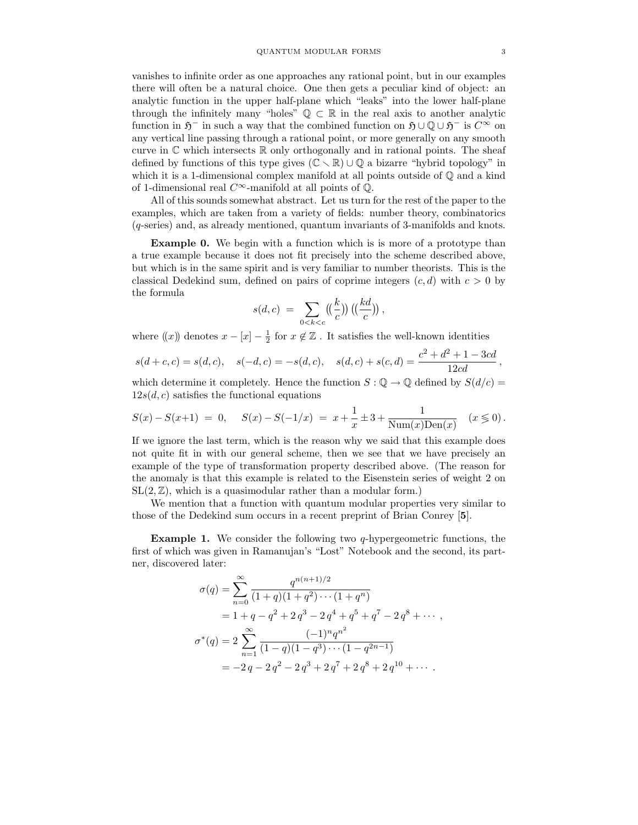vanishes to infinite order as one approaches any rational point, but in our examples there will often be a natural choice. One then gets a peculiar kind of object: an analytic function in the upper half-plane which "leaks" into the lower half-plane through the infinitely many "holes"  $\mathbb{Q} \subset \mathbb{R}$  in the real axis to another analytic function in  $\mathfrak{H}^-$  in such a way that the combined function on  $\mathfrak{H} \cup \mathbb{Q} \cup \mathfrak{H}^-$  is  $C^{\infty}$  on any vertical line passing through a rational point, or more generally on any smooth curve in  $\mathbb C$  which intersects  $\mathbb R$  only orthogonally and in rational points. The sheaf defined by functions of this type gives  $(\mathbb{C} \setminus \mathbb{R}) \cup \mathbb{Q}$  a bizarre "hybrid topology" in which it is a 1-dimensional complex manifold at all points outside of  $\mathbb Q$  and a kind of 1-dimensional real  $C^{\infty}$ -manifold at all points of  $\mathbb{Q}$ .

All of this sounds somewhat abstract. Let us turn for the rest of the paper to the examples, which are taken from a variety of fields: number theory, combinatorics (q-series) and, as already mentioned, quantum invariants of 3-manifolds and knots.

Example 0. We begin with a function which is is more of a prototype than a true example because it does not fit precisely into the scheme described above, but which is in the same spirit and is very familiar to number theorists. This is the classical Dedekind sum, defined on pairs of coprime integers  $(c, d)$  with  $c > 0$  by the formula

$$
s(d,c) = \sum_{0 < k < c} \left( \left( \frac{k}{c} \right) \right) \left( \left( \frac{kd}{c} \right) \right),
$$

where  $(\!(x)\!)$  denotes  $x - [x] - \frac{1}{2}$  for  $x \notin \mathbb{Z}$ . It satisfies the well-known identities

$$
s(d+c, c) = s(d, c), \quad s(-d, c) = -s(d, c), \quad s(d, c) + s(c, d) = \frac{c^2 + d^2 + 1 - 3cd}{12cd},
$$

which determine it completely. Hence the function  $S: \mathbb{Q} \to \mathbb{Q}$  defined by  $S(d/c) =$  $12s(d, c)$  satisfies the functional equations

$$
S(x) - S(x+1) = 0, \quad S(x) - S(-1/x) = x + \frac{1}{x} \pm 3 + \frac{1}{\text{Num}(x)\text{Den}(x)} \quad (x \le 0).
$$

If we ignore the last term, which is the reason why we said that this example does not quite fit in with our general scheme, then we see that we have precisely an example of the type of transformation property described above. (The reason for the anomaly is that this example is related to the Eisenstein series of weight 2 on  $SL(2,\mathbb{Z})$ , which is a quasimodular rather than a modular form.)

We mention that a function with quantum modular properties very similar to those of the Dedekind sum occurs in a recent preprint of Brian Conrey [5].

**Example 1.** We consider the following two  $q$ -hypergeometric functions, the first of which was given in Ramanujan's "Lost" Notebook and the second, its partner, discovered later:

$$
\sigma(q) = \sum_{n=0}^{\infty} \frac{q^{n(n+1)/2}}{(1+q)(1+q^2)\cdots(1+q^n)}
$$
  
=  $1+q-q^2+2q^3-2q^4+q^5+q^7-2q^8+\cdots,$   

$$
\sigma^*(q) = 2\sum_{n=1}^{\infty} \frac{(-1)^n q^{n^2}}{(1-q)(1-q^3)\cdots(1-q^{2n-1})}
$$
  
=  $-2q-2q^2-2q^3+2q^7+2q^8+2q^{10}+\cdots.$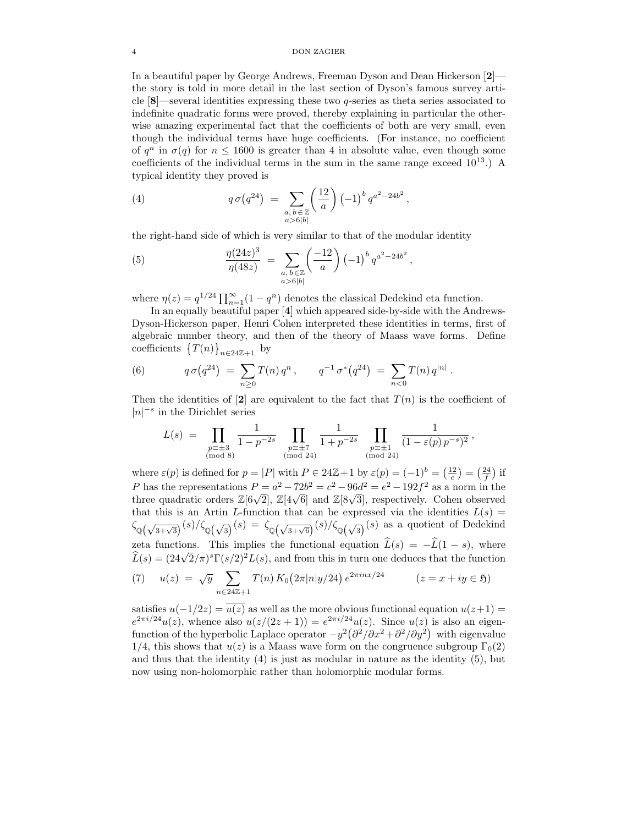In a beautiful paper by George Andrews, Freeman Dyson and Dean Hickerson [2] the story is told in more detail in the last section of Dyson's famous survey article [8]—several identities expressing these two q-series as theta series associated to indefinite quadratic forms were proved, thereby explaining in particular the otherwise amazing experimental fact that the coefficients of both are very small, even though the individual terms have huge coefficients. (For instance, no coefficient of  $q^n$  in  $\sigma(q)$  for  $n \le 1600$  is greater than 4 in absolute value, even though some coefficients of the individual terms in the sum in the same range exceed  $10^{13}$ .) A typical identity they proved is

(4) 
$$
q \sigma(q^{24}) = \sum_{\substack{a, b \in \mathbb{Z} \\ a > 6|b|}} \left(\frac{12}{a}\right) (-1)^b q^{a^2 - 24b^2},
$$

the right-hand side of which is very similar to that of the modular identity

(5) 
$$
\frac{\eta(24z)^3}{\eta(48z)} = \sum_{\substack{a, b \in \mathbb{Z} \\ a > 6|b|}} \left(\frac{-12}{a}\right) (-1)^b q^{a^2 - 24b^2},
$$

where  $\eta(z) = q^{1/24} \prod_{n=1}^{\infty} (1 - q^n)$  denotes the classical Dedekind eta function.

In an equally beautiful paper [4] which appeared side-by-side with the Andrews-Dyson-Hickerson paper, Henri Cohen interpreted these identities in terms, first of algebraic number theory, and then of the theory of Maass wave forms. Define coefficients  $\{T(n)\}_{n\in 24\mathbb{Z}+1}$  by

(6) 
$$
q \sigma(q^{24}) = \sum_{n\geq 0} T(n) q^n, \qquad q^{-1} \sigma^*(q^{24}) = \sum_{n<0} T(n) q^{|n|}.
$$

Then the identities of [2] are equivalent to the fact that  $T(n)$  is the coefficient of  $|n|^{−s}$  in the Dirichlet series

$$
L(s) = \prod_{\substack{p \equiv \pm 3 \\ \pmod{8}}} \frac{1}{1 - p^{-2s}} \prod_{\substack{p \equiv \pm 7 \\ \pmod{24}}} \frac{1}{1 + p^{-2s}} \prod_{\substack{p \equiv \pm 1 \\ \pmod{24}}} \frac{1}{(1 - \varepsilon(p) p^{-s})^2},
$$

where  $\varepsilon(p)$  is defined for  $p = |P|$  with  $P \in 24\mathbb{Z} + 1$  by  $\varepsilon(p) = (-1)^b = \left(\frac{12}{c}\right) = \left(\frac{24}{f}\right)$  if P has the representations  $P = a^2 - 72b^2 = c^2 - 96d^2 = e^2 - 192f^2$  as a norm in the three quadratic orders  $\mathbb{Z}[6\sqrt{2}]$ ,  $\mathbb{Z}[4\sqrt{6}]$  and  $\mathbb{Z}[8\sqrt{3}]$ , respectively. Cohen observed that this is an Artin L-function that can be expressed via the identities  $L(s)$  =  $\zeta_{\mathbb{Q}(\sqrt{3+\sqrt{3}})}(s)/\zeta_{\mathbb{Q}(\sqrt{3})}(s) = \zeta_{\mathbb{Q}(\sqrt{3+\sqrt{6}})}(s)/\zeta_{\mathbb{Q}(\sqrt{3})}(s)$  as a quotient of Dedekind zeta functions. This implies the functional equation  $\widehat{L}(s) = -\widehat{L}(1 - s)$ , where  $\widehat{L}(s) = (24\sqrt{2}/\pi)^s \Gamma(s/2)^2 L(s)$ , and from this in turn one deduces that the function

(7) 
$$
u(z) = \sqrt{y} \sum_{n \in 24\mathbb{Z}+1} T(n) K_0(2\pi |n|y/24) e^{2\pi i n x/24} \qquad (z = x + iy \in \mathfrak{H})
$$

satisfies  $u(-1/2z) = u(z)$  as well as the more obvious functional equation  $u(z+1) =$  $e^{2\pi i/24}u(z)$ , whence also  $u(z/(2z+1)) = e^{2\pi i/24}u(z)$ . Since  $u(z)$  is also an eigenfunction of the hyperbolic Laplace operator  $-y^2(\partial^2/\partial x^2+\partial^2/\partial y^2)$  with eigenvalue 1/4, this shows that  $u(z)$  is a Maass wave form on the congruence subgroup  $\Gamma_0(2)$ and thus that the identity  $(4)$  is just as modular in nature as the identity  $(5)$ , but now using non-holomorphic rather than holomorphic modular forms.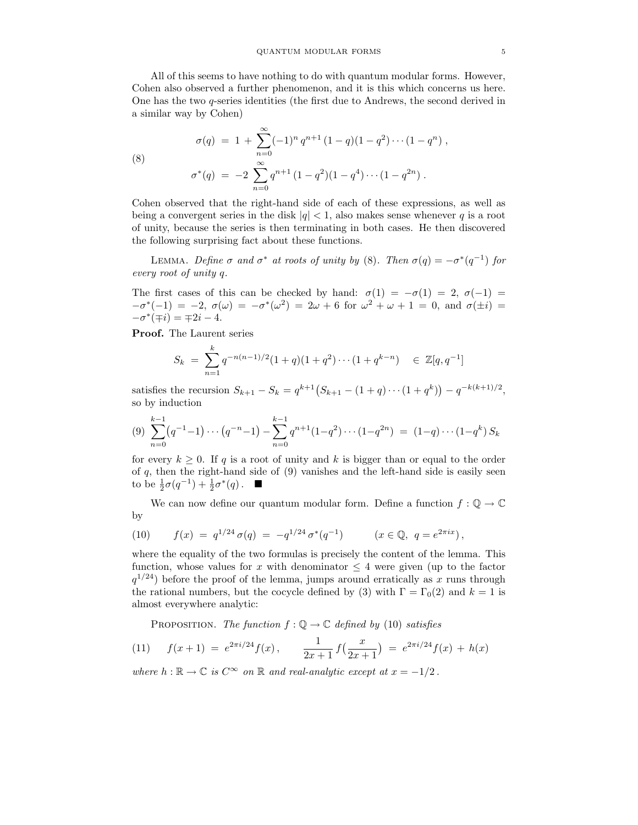All of this seems to have nothing to do with quantum modular forms. However, Cohen also observed a further phenomenon, and it is this which concerns us here. One has the two q-series identities (the first due to Andrews, the second derived in a similar way by Cohen)

(8)  
\n
$$
\sigma(q) = 1 + \sum_{n=0}^{\infty} (-1)^n q^{n+1} (1-q)(1-q^2) \cdots (1-q^n)
$$
\n
$$
\sigma^*(q) = -2 \sum_{n=0}^{\infty} q^{n+1} (1-q^2)(1-q^4) \cdots (1-q^{2n}).
$$

Cohen observed that the right-hand side of each of these expressions, as well as being a convergent series in the disk  $|q| < 1$ , also makes sense whenever q is a root of unity, because the series is then terminating in both cases. He then discovered the following surprising fact about these functions.

LEMMA. Define  $\sigma$  and  $\sigma^*$  at roots of unity by (8). Then  $\sigma(q) = -\sigma^*(q^{-1})$  for every root of unity q.

The first cases of this can be checked by hand:  $\sigma(1) = -\sigma(1) = 2$ ,  $\sigma(-1) =$  $-\sigma^*(-1) = -2, \ \sigma(\omega) = -\sigma^*(\omega^2) = 2\omega + 6 \text{ for } \omega^2 + \omega + 1 = 0, \text{ and } \sigma(\pm i) = 0$  $-\sigma^*(\mp i) = \mp 2i - 4.$ 

Proof. The Laurent series

$$
S_k = \sum_{n=1}^k q^{-n(n-1)/2} (1+q)(1+q^2) \cdots (1+q^{k-n}) \in \mathbb{Z}[q, q^{-1}]
$$

satisfies the recursion  $S_{k+1} - S_k = q^{k+1} (S_{k+1} - (1+q) \cdots (1+q^k)) - q^{-k(k+1)/2},$ so by induction

$$
(9) \sum_{n=0}^{k-1} (q^{-1}-1)\cdots (q^{-n}-1) - \sum_{n=0}^{k-1} q^{n+1} (1-q^2)\cdots (1-q^{2n}) = (1-q)\cdots (1-q^k) S_k
$$

for every  $k \geq 0$ . If q is a root of unity and k is bigger than or equal to the order of  $q$ , then the right-hand side of  $(9)$  vanishes and the left-hand side is easily seen to be  $\frac{1}{2}\sigma(q^{-1}) + \frac{1}{2}\sigma^*(q)$ .  $\blacksquare$ 

We can now define our quantum modular form. Define a function  $f: \mathbb{Q} \to \mathbb{C}$ by

(10) 
$$
f(x) = q^{1/24} \sigma(q) = -q^{1/24} \sigma^*(q^{-1})
$$
  $(x \in \mathbb{Q}, q = e^{2\pi ix}),$ 

where the equality of the two formulas is precisely the content of the lemma. This function, whose values for x with denominator  $\leq 4$  were given (up to the factor  $q^{1/24}$ ) before the proof of the lemma, jumps around erratically as x runs through the rational numbers, but the cocycle defined by (3) with  $\Gamma = \Gamma_0(2)$  and  $k = 1$  is almost everywhere analytic:

PROPOSITION. The function  $f: \mathbb{Q} \to \mathbb{C}$  defined by (10) satisfies

(11) 
$$
f(x+1) = e^{2\pi i/24} f(x), \qquad \frac{1}{2x+1} f(\frac{x}{2x+1}) = e^{2\pi i/24} f(x) + h(x)
$$

where  $h : \mathbb{R} \to \mathbb{C}$  is  $C^{\infty}$  on  $\mathbb{R}$  and real-analytic except at  $x = -1/2$ .

) ,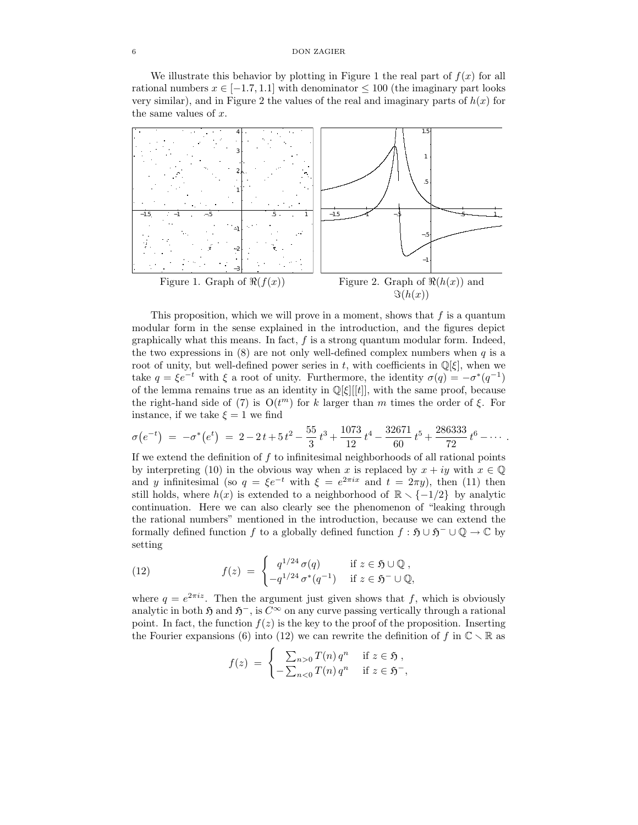We illustrate this behavior by plotting in Figure 1 the real part of  $f(x)$  for all rational numbers  $x \in [-1.7, 1.1]$  with denominator  $\leq 100$  (the imaginary part looks very similar), and in Figure 2 the values of the real and imaginary parts of  $h(x)$  for the same values of  $x$ .



This proposition, which we will prove in a moment, shows that  $f$  is a quantum modular form in the sense explained in the introduction, and the figures depict graphically what this means. In fact,  $f$  is a strong quantum modular form. Indeed, the two expressions in  $(8)$  are not only well-defined complex numbers when q is a root of unity, but well-defined power series in t, with coefficients in  $\mathbb{Q}[\xi]$ , when we take  $q = \xi e^{-t}$  with  $\xi$  a root of unity. Furthermore, the identity  $\sigma(q) = -\sigma^*(q^{-1})$ of the lemma remains true as an identity in  $\mathbb{Q}[\xi][[t]]$ , with the same proof, because the right-hand side of (7) is  $O(t^m)$  for k larger than m times the order of  $\xi$ . For instance, if we take  $\xi = 1$  we find

$$
\sigma(e^{-t}) = -\sigma^*(e^t) = 2 - 2t + 5t^2 - \frac{55}{3}t^3 + \frac{1073}{12}t^4 - \frac{32671}{60}t^5 + \frac{286333}{72}t^6 - \cdots
$$

If we extend the definition of  $f$  to infinitesimal neighborhoods of all rational points by interpreting (10) in the obvious way when x is replaced by  $x + iy$  with  $x \in \mathbb{Q}$ and y infinitesimal (so  $q = \xi e^{-t}$  with  $\xi = e^{2\pi ix}$  and  $t = 2\pi y$ ), then (11) then still holds, where  $h(x)$  is extended to a neighborhood of  $\mathbb{R} \setminus \{-1/2\}$  by analytic continuation. Here we can also clearly see the phenomenon of "leaking through the rational numbers" mentioned in the introduction, because we can extend the formally defined function f to a globally defined function  $f : \mathfrak{H} \cup \mathfrak{H}^- \cup \mathbb{Q} \to \mathbb{C}$  by setting

(12) 
$$
f(z) = \begin{cases} q^{1/24} \sigma(q) & \text{if } z \in \mathfrak{H} \cup \mathbb{Q}, \\ -q^{1/24} \sigma^*(q^{-1}) & \text{if } z \in \mathfrak{H}^- \cup \mathbb{Q}, \end{cases}
$$

where  $q = e^{2\pi i z}$ . Then the argument just given shows that f, which is obviously analytic in both  $\mathfrak{H}$  and  $\mathfrak{H}^-$ , is  $C^{\infty}$  on any curve passing vertically through a rational point. In fact, the function  $f(z)$  is the key to the proof of the proposition. Inserting the Fourier expansions (6) into (12) we can rewrite the definition of f in  $\mathbb{C} \setminus \mathbb{R}$  as

$$
f(z) = \begin{cases} \sum_{n>0} T(n) q^n & \text{if } z \in \mathfrak{H}, \\ -\sum_{n<0} T(n) q^n & \text{if } z \in \mathfrak{H}^-, \end{cases}
$$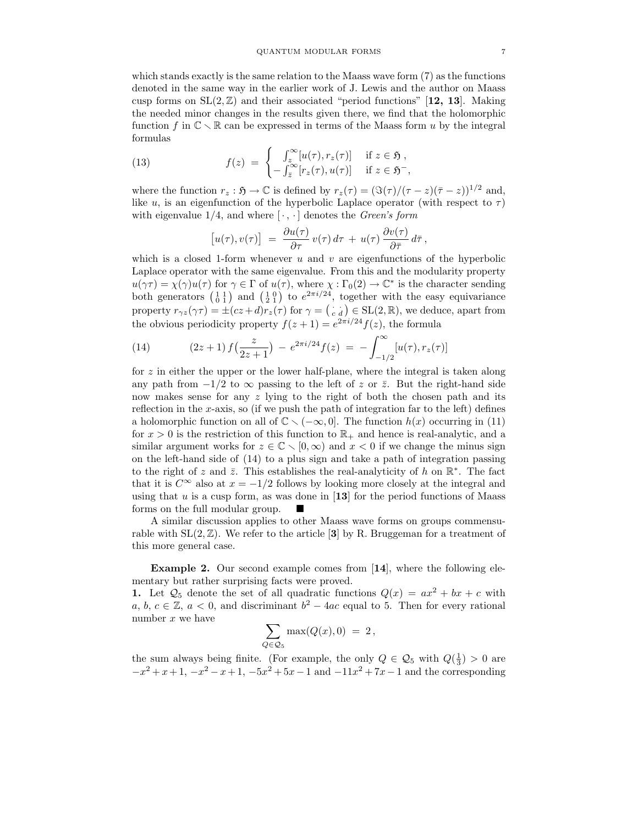which stands exactly is the same relation to the Maass wave form (7) as the functions denoted in the same way in the earlier work of J. Lewis and the author on Maass cusp forms on  $SL(2,\mathbb{Z})$  and their associated "period functions" [12, 13]. Making the needed minor changes in the results given there, we find that the holomorphic function f in  $\mathbb{C} \setminus \mathbb{R}$  can be expressed in terms of the Maass form u by the integral formulas

(13) 
$$
f(z) = \begin{cases} \int_{z}^{\infty} [u(\tau), r_{z}(\tau)] & \text{if } z \in \mathfrak{H}, \\ -\int_{\overline{z}}^{\infty} [r_{z}(\tau), u(\tau)] & \text{if } z \in \mathfrak{H}^-, \end{cases}
$$

where the function  $r_z : \mathfrak{H} \to \mathbb{C}$  is defined by  $r_z(\tau) = (\Im(\tau)/(\tau-z)(\bar{\tau}-z))^{1/2}$  and, like u, is an eigenfunction of the hyperbolic Laplace operator (with respect to  $\tau$ ) with eigenvalue  $1/4$ , and where  $\lceil \cdot, \cdot \rceil$  denotes the *Green's form* 

$$
[u(\tau), v(\tau)] = \frac{\partial u(\tau)}{\partial \tau} v(\tau) d\tau + u(\tau) \frac{\partial v(\tau)}{\partial \bar{\tau}} d\bar{\tau},
$$

which is a closed 1-form whenever  $u$  and  $v$  are eigenfunctions of the hyperbolic Laplace operator with the same eigenvalue. From this and the modularity property  $u(\gamma \tau) = \chi(\gamma)u(\tau)$  for  $\gamma \in \Gamma$  of  $u(\tau)$ , where  $\chi : \Gamma_0(2) \to \mathbb{C}^*$  is the character sending both generators  $\begin{pmatrix} 1 & 1 \\ 0 & 1 \end{pmatrix}$  and  $\begin{pmatrix} 1 & 0 \\ 2 & 1 \end{pmatrix}$  to  $e^{2\pi i/24}$ , together with the easy equivariance property  $r_{\gamma z}(\gamma \tau) = \pm (cz + d)r_z(\tau)$  for  $\gamma = (z - d) \in SL(2, \mathbb{R})$ , we deduce, apart from the obvious periodicity property  $f(z+1) = e^{2\pi i/24} f(z)$ , the formula

(14) 
$$
(2z+1) f\left(\frac{z}{2z+1}\right) - e^{2\pi i/24} f(z) = -\int_{-1/2}^{\infty} [u(\tau), r_z(\tau)]
$$

for  $z$  in either the upper or the lower half-plane, where the integral is taken along any path from  $-1/2$  to  $\infty$  passing to the left of z or  $\bar{z}$ . But the right-hand side now makes sense for any  $z$  lying to the right of both the chosen path and its reflection in the x-axis, so (if we push the path of integration far to the left) defines a holomorphic function on all of  $\mathbb{C} \setminus (-\infty, 0]$ . The function  $h(x)$  occurring in (11) for  $x > 0$  is the restriction of this function to  $\mathbb{R}_+$  and hence is real-analytic, and a similar argument works for  $z \in \mathbb{C} \setminus [0,\infty)$  and  $x < 0$  if we change the minus sign on the left-hand side of (14) to a plus sign and take a path of integration passing to the right of z and  $\bar{z}$ . This establishes the real-analyticity of h on  $\mathbb{R}^*$ . The fact that it is  $C^{\infty}$  also at  $x = -1/2$  follows by looking more closely at the integral and using that  $u$  is a cusp form, as was done in [13] for the period functions of Maass forms on the full modular group.

A similar discussion applies to other Maass wave forms on groups commensurable with  $SL(2,\mathbb{Z})$ . We refer to the article [3] by R. Bruggeman for a treatment of this more general case.

Example 2. Our second example comes from [14], where the following elementary but rather surprising facts were proved.

1. Let  $\mathcal{Q}_5$  denote the set of all quadratic functions  $Q(x) = ax^2 + bx + c$  with a, b,  $c \in \mathbb{Z}$ ,  $a < 0$ , and discriminant  $b^2 - 4ac$  equal to 5. Then for every rational number x we have

$$
\sum_{Q\in\mathcal{Q}_5} \max(Q(x),0) = 2,
$$

the sum always being finite. (For example, the only  $Q \in \mathcal{Q}_5$  with  $Q(\frac{1}{3}) > 0$  are  $-x^2 + x + 1$ ,  $-x^2 - x + 1$ ,  $-5x^2 + 5x - 1$  and  $-11x^2 + 7x - 1$  and the corresponding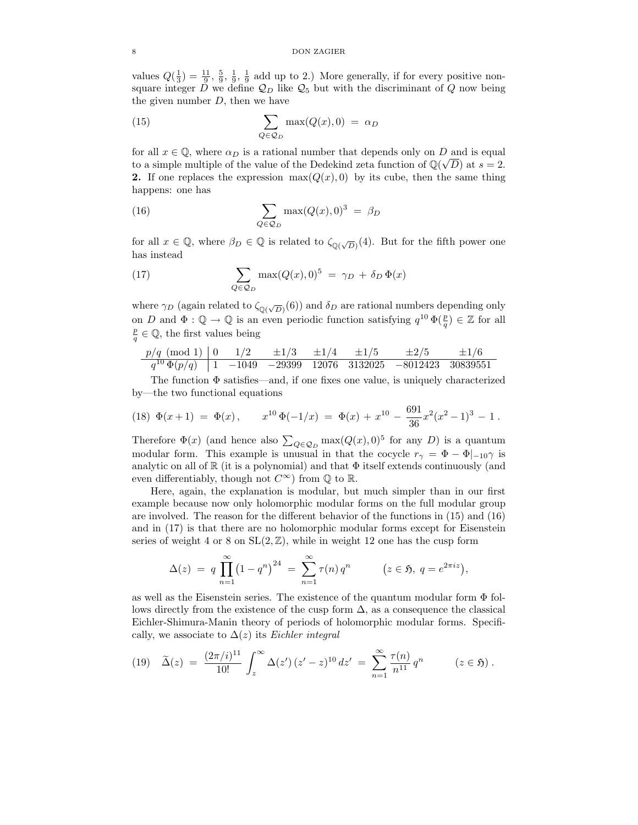values  $Q(\frac{1}{3}) = \frac{11}{9}$ ,  $\frac{5}{9}$ ,  $\frac{1}{9}$ ,  $\frac{1}{9}$  add up to 2.) More generally, if for every positive nonsquare integer  $D$  we define  $\mathcal{Q}_D$  like  $\mathcal{Q}_5$  but with the discriminant of  $Q$  now being the given number  $D$ , then we have

(15) 
$$
\sum_{Q \in \mathcal{Q}_D} \max(Q(x), 0) = \alpha_D
$$

for all  $x \in \mathbb{Q}$ , where  $\alpha_D$  is a rational number that depends only on D and is equal to a simple multiple of the value of the Dedekind zeta function of  $\mathbb{Q}(\sqrt{D})$  at  $s = 2$ . 2. If one replaces the expression  $\max(Q(x), 0)$  by its cube, then the same thing happens: one has

(16) 
$$
\sum_{Q \in \mathcal{Q}_D} \max(Q(x), 0)^3 = \beta_D
$$

for all  $x \in \mathbb{Q}$ , where  $\beta_D \in \mathbb{Q}$  is related to  $\zeta_{\mathbb{Q}(\sqrt{D})}(4)$ . But for the fifth power one has instead

(17) 
$$
\sum_{Q \in \mathcal{Q}_D} \max(Q(x), 0)^5 = \gamma_D + \delta_D \Phi(x)
$$

where  $\gamma_D$  (again related to  $\zeta_{\mathbb{Q}(\sqrt{D})}(6)$ ) and  $\delta_D$  are rational numbers depending only on D and  $\Phi: \mathbb{Q} \to \mathbb{Q}$  is an even periodic function satisfying  $q^{10} \Phi(\frac{p}{q}) \in \mathbb{Z}$  for all  $\frac{p}{q} \in \mathbb{Q}$ , the first values being

$$
\begin{array}{c|cccccc} p/q\!\!\!\!\pmod{1} & 0 & 1/2 & \pm 1/3 & \pm 1/4 & \pm 1/5 & \pm 2/5 & \pm 1/6 \\ \hline q^{10}\,\Phi(p/q) & 1 & -1049 & -29399 & 12076 & 3132025 & -8012423 & 30839551 \end{array}
$$

The function  $\Phi$  satisfies—and, if one fixes one value, is uniquely characterized by—the two functional equations

(18) 
$$
\Phi(x+1) = \Phi(x)
$$
,  $x^{10}\Phi(-1/x) = \Phi(x) + x^{10} - \frac{691}{36}x^2(x^2-1)^3 - 1$ .

Therefore  $\Phi(x)$  (and hence also  $\sum_{Q \in \mathcal{Q}_D} \max(Q(x), 0)^5$  for any D) is a quantum modular form. This example is unusual in that the cocycle  $r_{\gamma} = \Phi - \Phi|_{-10}\gamma$  is analytic on all of  $\mathbb R$  (it is a polynomial) and that  $\Phi$  itself extends continuously (and even differentiably, though not  $C^{\infty}$ ) from  $\mathbb Q$  to  $\mathbb R$ .

Here, again, the explanation is modular, but much simpler than in our first example because now only holomorphic modular forms on the full modular group are involved. The reason for the different behavior of the functions in (15) and (16) and in (17) is that there are no holomorphic modular forms except for Eisenstein series of weight 4 or 8 on  $SL(2, \mathbb{Z})$ , while in weight 12 one has the cusp form

$$
\Delta(z) = q \prod_{n=1}^{\infty} (1 - q^n)^{24} = \sum_{n=1}^{\infty} \tau(n) q^n \qquad (z \in \mathfrak{H}, q = e^{2\pi i z}),
$$

as well as the Eisenstein series. The existence of the quantum modular form  $\Phi$  follows directly from the existence of the cusp form  $\Delta$ , as a consequence the classical Eichler-Shimura-Manin theory of periods of holomorphic modular forms. Specifically, we associate to  $\Delta(z)$  its Eichler integral

$$
(19) \quad \widetilde{\Delta}(z) = \frac{(2\pi/i)^{11}}{10!} \int_z^{\infty} \Delta(z') \, (z'-z)^{10} \, dz' = \sum_{n=1}^{\infty} \frac{\tau(n)}{n^{11}} \, q^n \qquad (z \in \mathfrak{H}) \, .
$$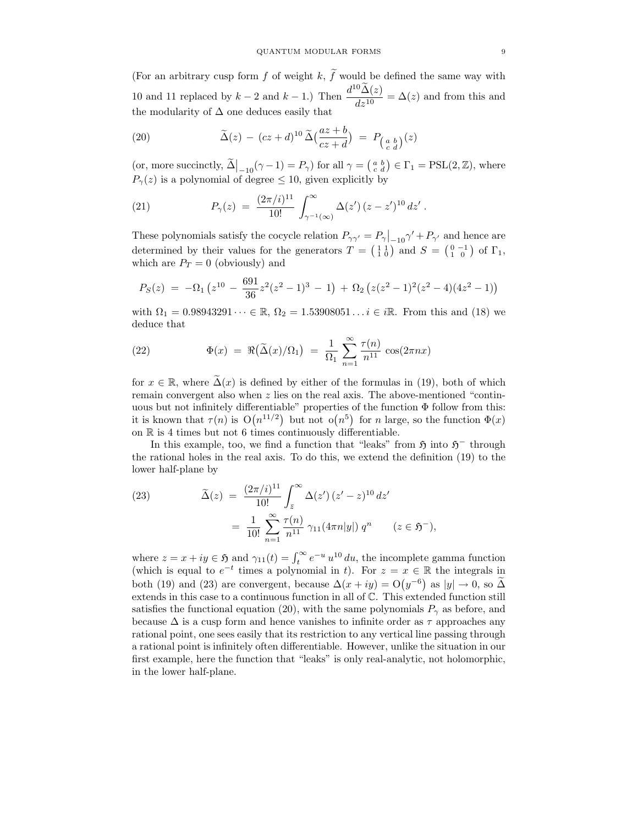(For an arbitrary cusp form f of weight k,  $\tilde{f}$  would be defined the same way with 10 and 11 replaced by  $k-2$  and  $k-1$ .) Then  $\frac{d^{10}\tilde{\Delta}(z)}{dz^{10}}$  $\frac{d^2y}{dz^{10}} = \Delta(z)$  and from this and the modularity of  $\Delta$  one deduces easily that

(20) 
$$
\widetilde{\Delta}(z) - (cz+d)^{10} \widetilde{\Delta}(\frac{az+b}{cz+d}) = P_{\left(\frac{a}{c} \frac{b}{d}\right)}(z)
$$

(or, more succinctly,  $\widetilde{\Delta}\Big|_{-10}(\gamma-1) = P_\gamma$ ) for all  $\gamma = \begin{pmatrix} a & b \\ c & d \end{pmatrix} \in \Gamma_1 = \text{PSL}(2, \mathbb{Z})$ , where  $P_{\gamma}(z)$  is a polynomial of degree  $\leq 10$ , given explicitly by

(21) 
$$
P_{\gamma}(z) = \frac{(2\pi/i)^{11}}{10!} \int_{\gamma^{-1}(\infty)}^{\infty} \Delta(z') (z - z')^{10} dz'.
$$

These polynomials satisfy the cocycle relation  $P_{\gamma\gamma'} = P_{\gamma}|_{-10}\gamma' + P_{\gamma'}$  and hence are determined by their values for the generators  $T = \begin{pmatrix} 1 & 1 \\ 1 & 0 \end{pmatrix}$  and  $S = \begin{pmatrix} 0 & -1 \\ 1 & 0 \end{pmatrix}$  of  $\Gamma_1$ , which are  $P_T = 0$  (obviously) and

$$
P_S(z) = -\Omega_1 (z^{10} - \frac{691}{36}z^2(z^2 - 1)^3 - 1) + \Omega_2 (z(z^2 - 1)^2(z^2 - 4)(4z^2 - 1))
$$

with  $\Omega_1 = 0.98943291 \cdots \in \mathbb{R}, \Omega_2 = 1.53908051 \ldots i \in i\mathbb{R}$ . From this and (18) we deduce that

(22) 
$$
\Phi(x) = \Re\left(\tilde{\Delta}(x)/\Omega_1\right) = \frac{1}{\Omega_1} \sum_{n=1}^{\infty} \frac{\tau(n)}{n^{11}} \cos(2\pi nx)
$$

for  $x \in \mathbb{R}$ , where  $\tilde{\Delta}(x)$  is defined by either of the formulas in (19), both of which remain convergent also when  $z$  lies on the real axis. The above-mentioned "continuous but not infinitely differentiable" properties of the function Φ follow from this: it is known that  $\tau(n)$  is  $O(n^{11/2})$  but not  $o(n^5)$  for n large, so the function  $\Phi(x)$ on  $\mathbb R$  is 4 times but not 6 times continuously differentiable.

In this example, too, we find a function that "leaks" from  $\mathfrak{H}$  into  $\mathfrak{H}^-$  through the rational holes in the real axis. To do this, we extend the definition (19) to the lower half-plane by

(23) 
$$
\widetilde{\Delta}(z) = \frac{(2\pi/i)^{11}}{10!} \int_{\bar{z}}^{\infty} \Delta(z') (z'-z)^{10} dz' \n= \frac{1}{10!} \sum_{n=1}^{\infty} \frac{\tau(n)}{n^{11}} \gamma_{11}(4\pi n|y|) q^n \qquad (z \in \mathfrak{H}^{-}),
$$

where  $z = x + iy \in \mathfrak{H}$  and  $\gamma_{11}(t) = \int_t^{\infty} e^{-u} u^{10} du$ , the incomplete gamma function (which is equal to  $e^{-t}$  times a polynomial in t). For  $z = x \in \mathbb{R}$  the integrals in both (19) and (23) are convergent, because  $\Delta(x+iy) = O(y^{-6})$  as  $|y| \to 0$ , so  $\widetilde{\Delta}$ extends in this case to a continuous function in all of C. This extended function still satisfies the functional equation (20), with the same polynomials  $P_\gamma$  as before, and because  $\Delta$  is a cusp form and hence vanishes to infinite order as  $\tau$  approaches any rational point, one sees easily that its restriction to any vertical line passing through a rational point is infinitely often differentiable. However, unlike the situation in our first example, here the function that "leaks" is only real-analytic, not holomorphic, in the lower half-plane.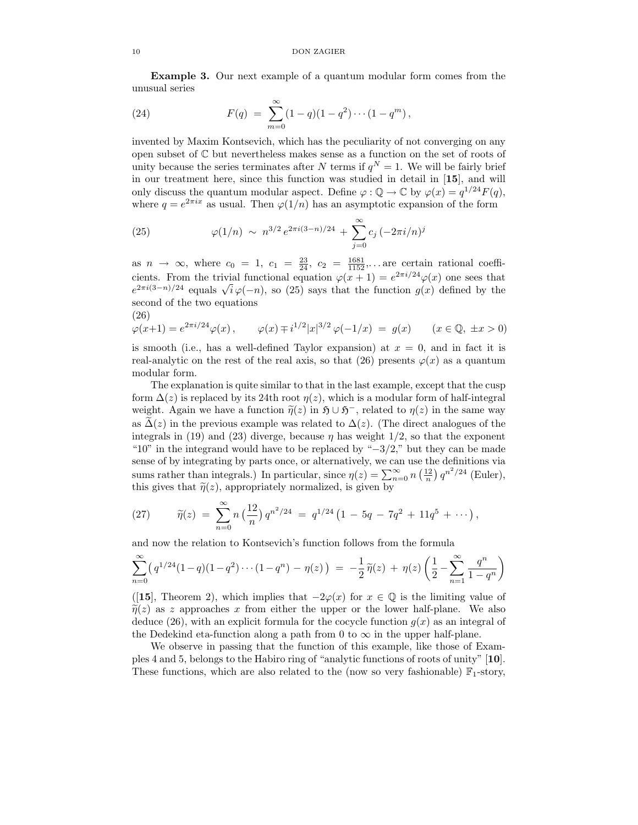Example 3. Our next example of a quantum modular form comes from the unusual series

(24) 
$$
F(q) = \sum_{m=0}^{\infty} (1-q)(1-q^2)\cdots(1-q^m),
$$

invented by Maxim Kontsevich, which has the peculiarity of not converging on any open subset of C but nevertheless makes sense as a function on the set of roots of unity because the series terminates after N terms if  $q^N = 1$ . We will be fairly brief in our treatment here, since this function was studied in detail in [15], and will only discuss the quantum modular aspect. Define  $\varphi : \mathbb{Q} \to \mathbb{C}$  by  $\varphi(x) = q^{1/24} F(q)$ , where  $q = e^{2\pi ix}$  as usual. Then  $\varphi(1/n)$  has an asymptotic expansion of the form

(25) 
$$
\varphi(1/n) \sim n^{3/2} e^{2\pi i (3-n)/24} + \sum_{j=0}^{\infty} c_j \left(-2\pi i/n\right)^j
$$

as  $n \to \infty$ , where  $c_0 = 1$ ,  $c_1 = \frac{23}{24}$ ,  $c_2 = \frac{1681}{1152}$ ,... are certain rational coefficients. From the trivial functional equation  $\varphi(x+1) = e^{2\pi i/24} \varphi(x)$  one sees that  $e^{2\pi i(3-n)/24}$  equals  $\sqrt{i}\varphi(-n)$ , so (25) says that the function  $g(x)$  defined by the second of the two equations (26)

$$
\varphi(x+1) = e^{2\pi i/24} \varphi(x) , \qquad \varphi(x) \mp i^{1/2} |x|^{3/2} \varphi(-1/x) = g(x) \qquad (x \in \mathbb{Q}, \ \pm x > 0)
$$

is smooth (i.e., has a well-defined Taylor expansion) at  $x = 0$ , and in fact it is real-analytic on the rest of the real axis, so that (26) presents  $\varphi(x)$  as a quantum modular form.

The explanation is quite similar to that in the last example, except that the cusp form  $\Delta(z)$  is replaced by its 24th root  $\eta(z)$ , which is a modular form of half-integral weight. Again we have a function  $\tilde{\eta}(z)$  in  $\mathfrak{H} \cup \mathfrak{H}^-$ , related to  $\eta(z)$  in the same way as  $\Delta(z)$  in the previous example was related to  $\Delta(z)$ . (The direct analogues of the integrals in (19) and (23) diverge, because  $\eta$  has weight  $1/2$ , so that the exponent "10" in the integrand would have to be replaced by " $-3/2$ ," but they can be made sense of by integrating by parts once, or alternatively, we can use the definitions via sums rather than integrals.) In particular, since  $\eta(z) = \sum_{n=0}^{\infty} n \left(\frac{12}{n}\right) q^{n^2/24}$  (Euler), this gives that  $\tilde{\eta}(z)$ , appropriately normalized, is given by

(27) 
$$
\widetilde{\eta}(z) = \sum_{n=0}^{\infty} n \left(\frac{12}{n}\right) q^{n^2/24} = q^{1/24} \left(1 - 5q - 7q^2 + 11q^5 + \cdots\right),
$$

and now the relation to Kontsevich's function follows from the formula

$$
\sum_{n=0}^{\infty} \left( q^{1/24} (1-q)(1-q^2) \cdots (1-q^n) - \eta(z) \right) = -\frac{1}{2} \widetilde{\eta}(z) + \eta(z) \left( \frac{1}{2} - \sum_{n=1}^{\infty} \frac{q^n}{1-q^n} \right)
$$

([15], Theorem 2), which implies that  $-2\varphi(x)$  for  $x \in \mathbb{Q}$  is the limiting value of  $\widetilde{\eta}(z)$  as z approaches x from either the upper or the lower half-plane. We also deduce (26), with an explicit formula for the cocycle function  $q(x)$  as an integral of the Dedekind eta-function along a path from 0 to  $\infty$  in the upper half-plane.

We observe in passing that the function of this example, like those of Examples 4 and 5, belongs to the Habiro ring of "analytic functions of roots of unity" [10]. These functions, which are also related to the (now so very fashionable)  $\mathbb{F}_1$ -story,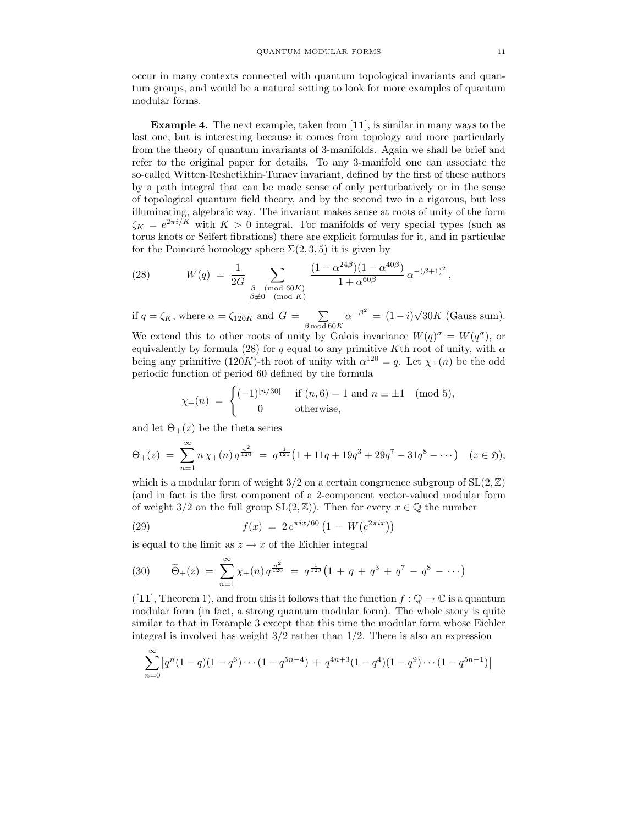occur in many contexts connected with quantum topological invariants and quantum groups, and would be a natural setting to look for more examples of quantum modular forms.

Example 4. The next example, taken from [11], is similar in many ways to the last one, but is interesting because it comes from topology and more particularly from the theory of quantum invariants of 3-manifolds. Again we shall be brief and refer to the original paper for details. To any 3-manifold one can associate the so-called Witten-Reshetikhin-Turaev invariant, defined by the first of these authors by a path integral that can be made sense of only perturbatively or in the sense of topological quantum field theory, and by the second two in a rigorous, but less illuminating, algebraic way. The invariant makes sense at roots of unity of the form  $\zeta_K = e^{2\pi i/K}$  with  $K > 0$  integral. For manifolds of very special types (such as torus knots or Seifert fibrations) there are explicit formulas for it, and in particular for the Poincaré homology sphere  $\Sigma(2,3,5)$  it is given by

(28) 
$$
W(q) = \frac{1}{2G} \sum_{\substack{\beta \pmod{60K} \\ \beta \neq 0 \pmod{K}}} \frac{(1 - \alpha^{24\beta})(1 - \alpha^{40\beta})}{1 + \alpha^{60\beta}} \alpha^{-(\beta + 1)^2},
$$

if  $q = \zeta_K$ , where  $\alpha = \zeta_{120K}$  and  $G = \sum$  $\beta$  mod  $60K$  $\alpha^{-\beta^2} = (1 - i)\sqrt{30K}$  (Gauss sum).

We extend this to other roots of unity by Galois invariance  $W(q)^{\sigma} = W(q^{\sigma})$ , or equivalently by formula (28) for q equal to any primitive Kth root of unity, with  $\alpha$ being any primitive (120K)-th root of unity with  $\alpha^{120} = q$ . Let  $\chi_{+}(n)$  be the odd periodic function of period 60 defined by the formula

$$
\chi_{+}(n) = \begin{cases}\n(-1)^{[n/30]} & \text{if } (n,6) = 1 \text{ and } n \equiv \pm 1 \pmod{5}, \\
0 & \text{otherwise,} \n\end{cases}
$$

and let  $\Theta_+(z)$  be the theta series

$$
\Theta_{+}(z) = \sum_{n=1}^{\infty} n \chi_{+}(n) q^{\frac{n^{2}}{120}} = q^{\frac{1}{120}} \left( 1 + 11q + 19q^{3} + 29q^{7} - 31q^{8} - \cdots \right) \quad (z \in \mathfrak{H}),
$$

which is a modular form of weight  $3/2$  on a certain congruence subgroup of  $SL(2,\mathbb{Z})$ (and in fact is the first component of a 2-component vector-valued modular form of weight 3/2 on the full group  $SL(2, \mathbb{Z})$ ). Then for every  $x \in \mathbb{Q}$  the number

(29) 
$$
f(x) = 2 e^{\pi i x/60} \left( 1 - W \left( e^{2\pi i x} \right) \right)
$$

is equal to the limit as  $z \to x$  of the Eichler integral

(30) 
$$
\widetilde{\Theta}_+(z) = \sum_{n=1}^{\infty} \chi_+(n) q^{\frac{n^2}{120}} = q^{\frac{1}{120}} \left(1 + q + q^3 + q^7 - q^8 - \cdots \right)
$$

([11], Theorem 1), and from this it follows that the function  $f : \mathbb{Q} \to \mathbb{C}$  is a quantum modular form (in fact, a strong quantum modular form). The whole story is quite similar to that in Example 3 except that this time the modular form whose Eichler integral is involved has weight  $3/2$  rather than  $1/2$ . There is also an expression

$$
\sum_{n=0}^{\infty} \left[ q^n (1-q)(1-q^6) \cdots (1-q^{5n-4}) + q^{4n+3} (1-q^4)(1-q^9) \cdots (1-q^{5n-1}) \right]
$$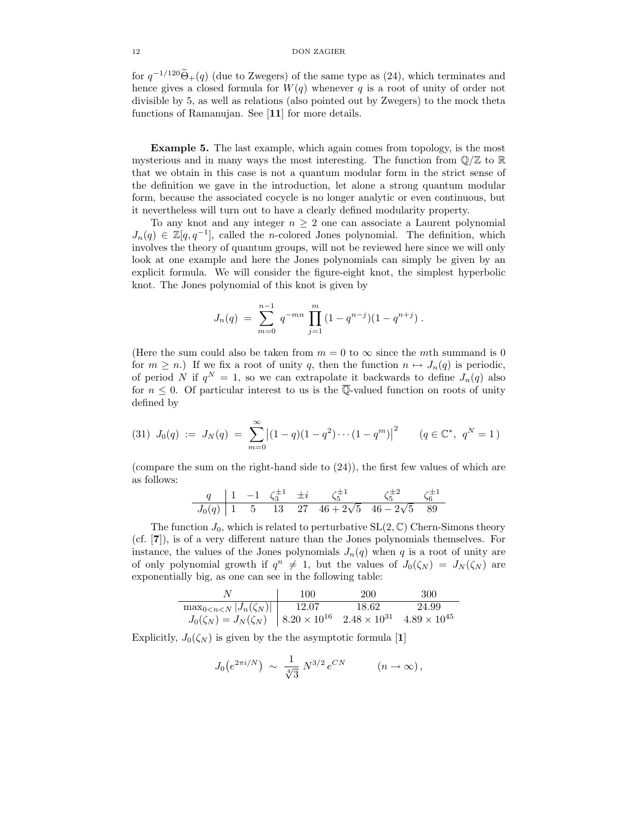for  $q^{-1/120}\Theta_+(q)$  (due to Zwegers) of the same type as (24), which terminates and hence gives a closed formula for  $W(q)$  whenever q is a root of unity of order not divisible by 5, as well as relations (also pointed out by Zwegers) to the mock theta functions of Ramanujan. See [11] for more details.

Example 5. The last example, which again comes from topology, is the most mysterious and in many ways the most interesting. The function from  $\mathbb{Q}/\mathbb{Z}$  to  $\mathbb R$ that we obtain in this case is not a quantum modular form in the strict sense of the definition we gave in the introduction, let alone a strong quantum modular form, because the associated cocycle is no longer analytic or even continuous, but it nevertheless will turn out to have a clearly defined modularity property.

To any knot and any integer  $n \geq 2$  one can associate a Laurent polynomial  $J_n(q) \in \mathbb{Z}[q, q^{-1}]$ , called the n-colored Jones polynomial. The definition, which involves the theory of quantum groups, will not be reviewed here since we will only look at one example and here the Jones polynomials can simply be given by an explicit formula. We will consider the figure-eight knot, the simplest hyperbolic knot. The Jones polynomial of this knot is given by

$$
J_n(q) = \sum_{m=0}^{n-1} q^{-mn} \prod_{j=1}^m (1 - q^{n-j})(1 - q^{n+j}).
$$

(Here the sum could also be taken from  $m = 0$  to  $\infty$  since the mth summand is 0 for  $m \geq n$ .) If we fix a root of unity q, then the function  $n \mapsto J_n(q)$  is periodic, of period N if  $q^N = 1$ , so we can extrapolate it backwards to define  $J_n(q)$  also for  $n \leq 0$ . Of particular interest to us is the  $\overline{\mathbb{Q}}$ -valued function on roots of unity defined by

$$
(31) \ J_0(q) := J_N(q) = \sum_{m=0}^{\infty} \left| (1-q)(1-q^2) \cdots (1-q^m) \right|^2 \qquad (q \in \mathbb{C}^*, \ q^N = 1)
$$

(compare the sum on the right-hand side to  $(24)$ ), the first few values of which are as follows:

$$
\frac{q}{J_0(q)} \begin{array}{|rrrrr} 1 & -1 & \zeta_3^{\pm 1} & \pm i & \zeta_5^{\pm 1} & \zeta_5^{\pm 2} & \zeta_6^{\pm 1} \\ \hline 1 & 5 & 13 & 27 & 46 + 2\sqrt{5} & 46 - 2\sqrt{5} & 89 \end{array}
$$

The function  $J_0$ , which is related to perturbative  $SL(2,\mathbb{C})$  Chern-Simons theory (cf. [7]), is of a very different nature than the Jones polynomials themselves. For instance, the values of the Jones polynomials  $J_n(q)$  when q is a root of unity are of only polynomial growth if  $q^n \neq 1$ , but the values of  $J_0(\zeta_N) = J_N(\zeta_N)$  are exponentially big, as one can see in the following table:

|                                    | 100 | 200 | 300 |
|------------------------------------|-----|-----|-----|
|                                    |     |     |     |
| $\left.\begin{array}{lll} \max_{0$ |     |     |     |

Explicitly,  $J_0(\zeta_N)$  is given by the the asymptotic formula [1]

$$
J_0(e^{2\pi i/N}) \sim \frac{1}{\sqrt[4]{3}} N^{3/2} e^{CN} \qquad (n \to \infty),
$$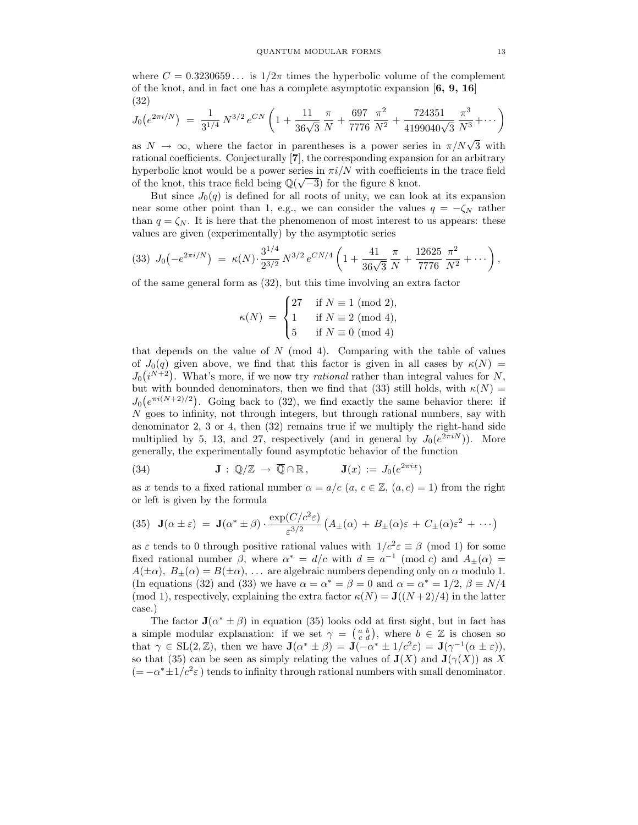where  $C = 0.3230659...$  is  $1/2\pi$  times the hyperbolic volume of the complement of the knot, and in fact one has a complete asymptotic expansion  $[6, 9, 16]$ (32)

$$
J_0(e^{2\pi i/N}) = \frac{1}{3^{1/4}} N^{3/2} e^{CN} \left(1 + \frac{11}{36\sqrt{3}} \frac{\pi}{N} + \frac{697}{7776} \frac{\pi^2}{N^2} + \frac{724351}{4199040\sqrt{3}} \frac{\pi^3}{N^3} + \cdots \right)
$$

as  $N \to \infty$ , where the factor in parentheses is a power series in  $\pi/N\sqrt{3}$  with rational coefficients. Conjecturally [7], the corresponding expansion for an arbitrary hyperbolic knot would be a power series in  $\pi i/N$  with coefficients in the trace field of the knot, this trace field being  $\mathbb{Q}(\sqrt{-3})$  for the figure 8 knot.

But since  $J_0(q)$  is defined for all roots of unity, we can look at its expansion near some other point than 1, e.g., we can consider the values  $q = -\zeta_N$  rather than  $q = \zeta_N$ . It is here that the phenomenon of most interest to us appears: these values are given (experimentally) by the asymptotic series

$$
(33) \ J_0\left(-e^{2\pi i/N}\right) \ = \ \kappa(N) \cdot \frac{3^{1/4}}{2^{3/2}} \, N^{3/2} \, e^{CN/4} \left(1 + \frac{41}{36\sqrt{3}} \, \frac{\pi}{N} + \frac{12625}{7776} \, \frac{\pi^2}{N^2} + \cdots\right),
$$

of the same general form as (32), but this time involving an extra factor

$$
\kappa(N) \;=\; \begin{cases} 27 & \text{ if } N\equiv 1\!\!\!\!\pmod{2}, \\ 1 & \text{ if } N\equiv 2\!\!\!\!\!\pmod{4}, \\ 5 & \text{ if } N\equiv 0\!\!\!\!\!\pmod{4} \end{cases}
$$

that depends on the value of  $N \pmod{4}$ . Comparing with the table of values of  $J_0(q)$  given above, we find that this factor is given in all cases by  $\kappa(N)$  =  $J_0(i^{N+2})$ . What's more, if we now try *rational* rather than integral values for N, but with bounded denominators, then we find that (33) still holds, with  $\kappa(N) =$  $J_0(e^{\pi i(N+2)/2})$ . Going back to (32), we find exactly the same behavior there: if  $N$  goes to infinity, not through integers, but through rational numbers, say with denominator 2, 3 or 4, then  $(32)$  remains true if we multiply the right-hand side multiplied by 5, 13, and 27, respectively (and in general by  $J_0(e^{2\pi i N})$ ). More generally, the experimentally found asymptotic behavior of the function

(34) 
$$
\mathbf{J}: \mathbb{Q}/\mathbb{Z} \to \overline{\mathbb{Q}} \cap \mathbb{R}, \qquad \mathbf{J}(x) := J_0(e^{2\pi ix})
$$

as x tends to a fixed rational number  $\alpha = a/c$  (a,  $c \in \mathbb{Z}$ ,  $(a, c) = 1$ ) from the right or left is given by the formula

(35) 
$$
\mathbf{J}(\alpha \pm \varepsilon) = \mathbf{J}(\alpha^* \pm \beta) \cdot \frac{\exp(C/c^2 \varepsilon)}{\varepsilon^{3/2}} \left( A_{\pm}(\alpha) + B_{\pm}(\alpha) \varepsilon + C_{\pm}(\alpha) \varepsilon^2 + \cdots \right)
$$

as  $\varepsilon$  tends to 0 through positive rational values with  $1/c^2 \varepsilon \equiv \beta \pmod{1}$  for some fixed rational number  $\beta$ , where  $\alpha^* = d/c$  with  $d \equiv a^{-1} \pmod{c}$  and  $A_{\pm}(\alpha) =$  $A(\pm\alpha)$ ,  $B_{+}(\alpha) = B(\pm\alpha)$ , ... are algebraic numbers depending only on  $\alpha$  modulo 1. (In equations (32) and (33) we have  $\alpha = \alpha^* = \beta = 0$  and  $\alpha = \alpha^* = 1/2$ ,  $\beta \equiv N/4$ (mod 1), respectively, explaining the extra factor  $\kappa(N) = \mathbf{J}((N+2)/4)$  in the latter case.)

The factor  $\mathbf{J}(\alpha^* \pm \beta)$  in equation (35) looks odd at first sight, but in fact has a simple modular explanation: if we set  $\gamma = \begin{pmatrix} a & b \\ c & d \end{pmatrix}$ , where  $b \in \mathbb{Z}$  is chosen so that  $\gamma \in SL(2,\mathbb{Z})$ , then we have  $\mathbf{J}(\alpha^* \pm \beta) = \mathbf{J}(-\alpha^* \pm 1/c^2 \varepsilon) = \mathbf{J}(\gamma^{-1}(\alpha \pm \varepsilon))$ , so that (35) can be seen as simply relating the values of  $J(X)$  and  $J(\gamma(X))$  as X  $(=-\alpha^* \pm 1/c^2 \varepsilon)$  tends to infinity through rational numbers with small denominator.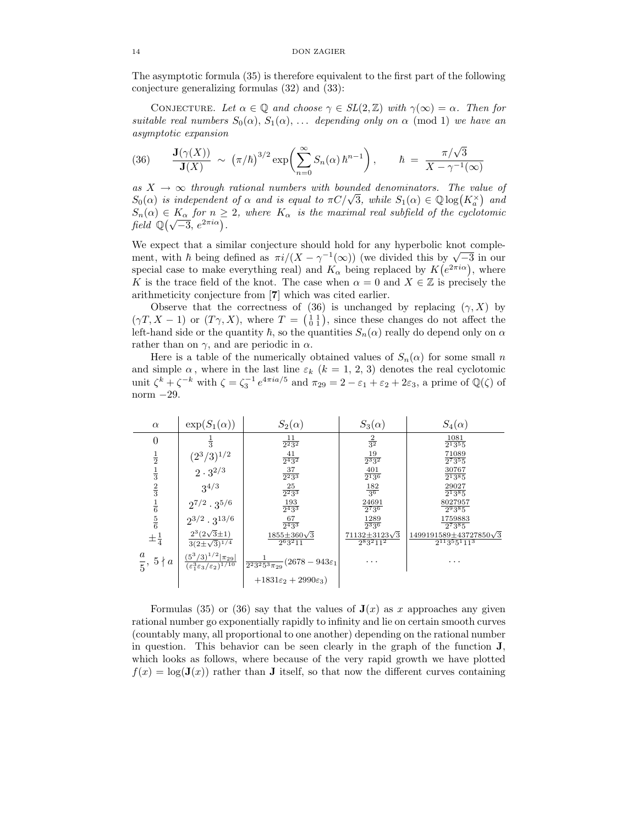The asymptotic formula (35) is therefore equivalent to the first part of the following conjecture generalizing formulas (32) and (33):

CONJECTURE. Let  $\alpha \in \mathbb{Q}$  and choose  $\gamma \in SL(2,\mathbb{Z})$  with  $\gamma(\infty) = \alpha$ . Then for suitable real numbers  $S_0(\alpha)$ ,  $S_1(\alpha)$ , ... depending only on  $\alpha$  (mod 1) we have an asymptotic expansion

(36) 
$$
\frac{\mathbf{J}(\gamma(X))}{\mathbf{J}(X)} \sim (\pi/\hbar)^{3/2} \exp\left(\sum_{n=0}^{\infty} S_n(\alpha) \hbar^{n-1}\right), \quad \hbar = \frac{\pi/\sqrt{3}}{X - \gamma^{-1}(\infty)}
$$

as  $X \rightarrow \infty$  through rational numbers with bounded denominators. The value of  $S_0(\alpha)$  is independent of  $\alpha$  and is equal to  $\pi C/\sqrt{3}$ , while  $S_1(\alpha) \in \mathbb{Q} \log(K_{\alpha}^{\times})$  and  $S_n(\alpha) \in K_\alpha$  for  $n \geq 2$ , where  $K_\alpha$  is the maximal real subfield of the cyclotomic field  $\mathbb{Q}(\sqrt{-3}, e^{2\pi i \alpha})$ .

We expect that a similar conjecture should hold for any hyperbolic knot complement, with  $\hbar$  being defined as  $\pi i/(X - \gamma^{-1}(\infty))$  (we divided this by  $\sqrt{-3}$  in our special case to make everything real) and  $K_{\alpha}$  being replaced by  $K(e^{2\pi i \alpha})$ , where K is the trace field of the knot. The case when  $\alpha = 0$  and  $X \in \mathbb{Z}$  is precisely the arithmeticity conjecture from [7] which was cited earlier.

Observe that the correctness of (36) is unchanged by replacing  $(\gamma, X)$  by  $(\gamma T, X - 1)$  or  $(T\gamma, X)$ , where  $T = \begin{pmatrix} 1 & 1 \\ 0 & 1 \end{pmatrix}$ , since these changes do not affect the left-hand side or the quantity  $\hbar$ , so the quantities  $S_n(\alpha)$  really do depend only on  $\alpha$ rather than on  $\gamma$ , and are periodic in  $\alpha$ .

Here is a table of the numerically obtained values of  $S_n(\alpha)$  for some small n and simple  $\alpha$ , where in the last line  $\varepsilon_k$  ( $k = 1, 2, 3$ ) denotes the real cyclotomic unit  $\zeta^k + \zeta^{-k}$  with  $\zeta = \zeta_3^{-1} e^{4\pi i a/5}$  and  $\pi_{29} = 2 - \varepsilon_1 + \varepsilon_2 + 2\varepsilon_3$ , a prime of  $\mathbb{Q}(\zeta)$  of norm −29.

| $\alpha$                               | $\exp(S_1(\alpha))$                                                                   | $S_2(\alpha)$                                                   | $S_3(\alpha)$                            | $S_4(\alpha)$                                           |
|----------------------------------------|---------------------------------------------------------------------------------------|-----------------------------------------------------------------|------------------------------------------|---------------------------------------------------------|
| 0                                      | $\overline{3}$                                                                        | $\frac{11}{2^2 3^2}$                                            | $\frac{2}{3^2}$                          | 1081<br>$2^{1}3^{5}5$                                   |
| $\frac{1}{2}$                          | $(2^3/3)^{1/2}$                                                                       | $\frac{41}{2^4 3^2}$                                            | $\frac{19}{2^3 3^2}$                     | 71089<br>$2^{7}3^{5}5$                                  |
| $\frac{1}{3}$                          | $2\cdot 3^{2/3}$                                                                      | $\frac{37}{2^2 3^3}$                                            | $\frac{401}{2^13^6}$                     | 30767<br>$2^{1}3^{8}5$                                  |
| $\frac{2}{3}$                          | $3^{4/3}$                                                                             | $\frac{25}{2^2 3^3}$                                            | $\frac{182}{3^6}$                        | 29027<br>$2^{1}3^{8}5$                                  |
|                                        | $2^{7/2} \cdot 3^{5/6}$                                                               | $\frac{193}{2^4 3^3}$                                           | $\frac{24691}{2^73^6}$                   | 8027957<br>$2^93^85$                                    |
| $\frac{1}{6}$ $\frac{5}{6}$            | $2^{3/2} \cdot 3^{13/6}$                                                              | $\frac{67}{2^43^3}$                                             | $\frac{1289}{2^33^6}$                    | 1759883<br>27385                                        |
| $\pm \frac{1}{4}$                      | $2^3(2\sqrt{3}\pm 1)$<br>$3(2\pm\sqrt{3})^{1/4}$                                      | $1855 \pm 360 \sqrt{3}$<br>$2^{6}3^{2}11$                       | $71132 \pm 3123\sqrt{3}$<br>$2^83^211^2$ | $1499191589 \pm 43727850\sqrt{3}$<br>$2^{11}3^55^111^3$ |
| $\it a$<br>$\frac{1}{5}$ , 5 $\nmid a$ | $\frac{(5^3/3)^{1/2} \pi_{29} }{(\varepsilon_1^3\varepsilon_3/\varepsilon_2)^{1/10}}$ | $\frac{1}{2^2 3^2 5^3 \pi_{29}} \big( 2678 - 943 \varepsilon_1$ | .                                        | .                                                       |
|                                        |                                                                                       | $+1831\varepsilon_2+2990\varepsilon_3$                          |                                          |                                                         |

Formulas (35) or (36) say that the values of  $J(x)$  as x approaches any given rational number go exponentially rapidly to infinity and lie on certain smooth curves (countably many, all proportional to one another) depending on the rational number in question. This behavior can be seen clearly in the graph of the function J, which looks as follows, where because of the very rapid growth we have plotted  $f(x) = \log(\mathbf{J}(x))$  rather than **J** itself, so that now the different curves containing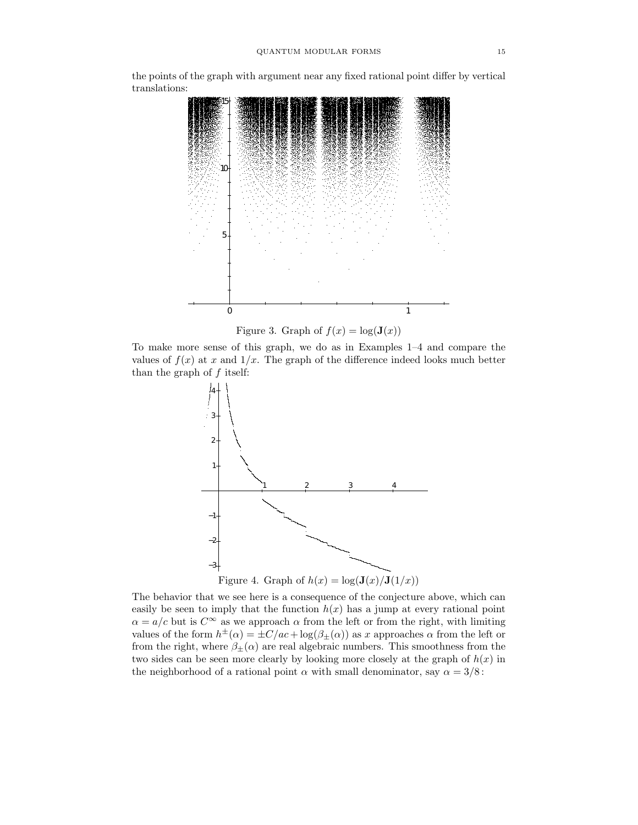the points of the graph with argument near any fixed rational point differ by vertical translations:



Figure 3. Graph of  $f(x) = \log(\mathbf{J}(x))$ 

To make more sense of this graph, we do as in Examples 1–4 and compare the values of  $f(x)$  at x and  $1/x$ . The graph of the difference indeed looks much better than the graph of  $f$  itself:



The behavior that we see here is a consequence of the conjecture above, which can easily be seen to imply that the function  $h(x)$  has a jump at every rational point  $\alpha = a/c$  but is  $C^{\infty}$  as we approach  $\alpha$  from the left or from the right, with limiting values of the form  $h^{\pm}(\alpha) = \pm C/ac + \log(\beta_{\pm}(\alpha))$  as x approaches  $\alpha$  from the left or from the right, where  $\beta_{\pm}(\alpha)$  are real algebraic numbers. This smoothness from the two sides can be seen more clearly by looking more closely at the graph of  $h(x)$  in the neighborhood of a rational point  $\alpha$  with small denominator, say  $\alpha = 3/8$ :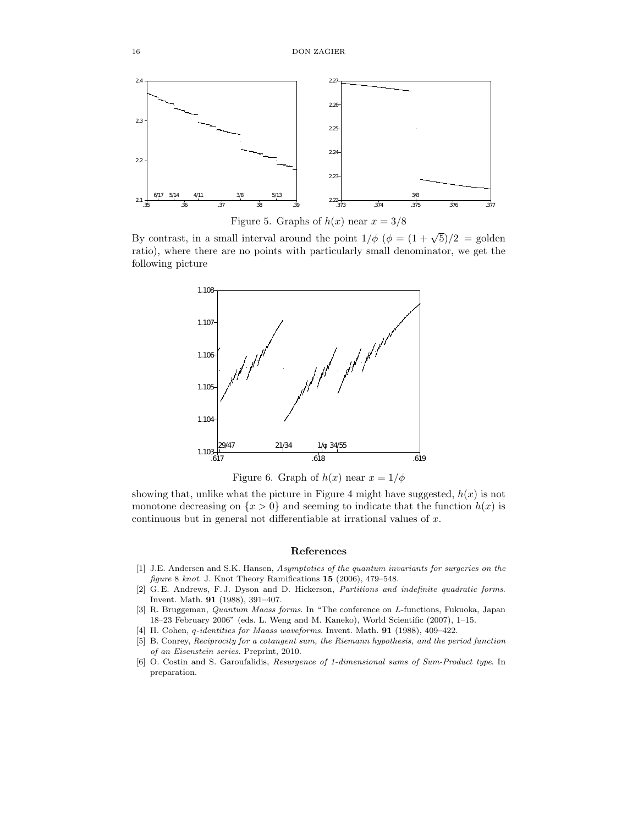

Figure 5. Graphs of  $h(x)$  near  $x = 3/8$ 

By contrast, in a small interval around the point  $1/\phi$  ( $\phi = (1 + \sqrt{5})/2 =$  golden ratio), where there are no points with particularly small denominator, we get the following picture



Figure 6. Graph of  $h(x)$  near  $x = 1/\phi$ 

showing that, unlike what the picture in Figure 4 might have suggested,  $h(x)$  is not monotone decreasing on  $\{x > 0\}$  and seeming to indicate that the function  $h(x)$  is continuous but in general not differentiable at irrational values of x.

### References

- [1] J.E. Andersen and S.K. Hansen, Asymptotics of the quantum invariants for surgeries on the figure 8 knot. J. Knot Theory Ramifications 15 (2006), 479–548.
- [2] G. E. Andrews, F. J. Dyson and D. Hickerson, Partitions and indefinite quadratic forms. Invent. Math. 91 (1988), 391–407.
- [3] R. Bruggeman, Quantum Maass forms. In "The conference on L-functions, Fukuoka, Japan 18–23 February 2006" (eds. L. Weng and M. Kaneko), World Scientific (2007), 1–15.
- [4] H. Cohen, q-identities for Maass waveforms. Invent. Math. 91 (1988), 409–422.
- [5] B. Conrey, Reciprocity for a cotangent sum, the Riemann hypothesis, and the period function of an Eisenstein series. Preprint, 2010.
- [6] O. Costin and S. Garoufalidis, Resurgence of 1-dimensional sums of Sum-Product type. In preparation.